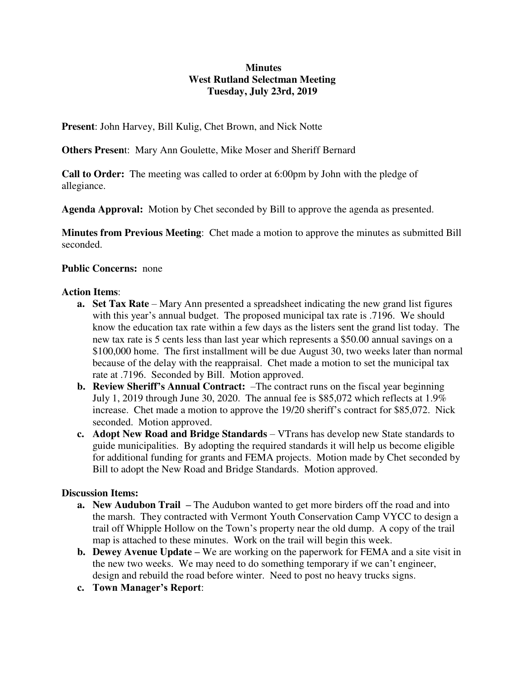# **Minutes West Rutland Selectman Meeting Tuesday, July 23rd, 2019**

**Present**: John Harvey, Bill Kulig, Chet Brown, and Nick Notte

**Others Presen**t: Mary Ann Goulette, Mike Moser and Sheriff Bernard

**Call to Order:** The meeting was called to order at 6:00pm by John with the pledge of allegiance.

**Agenda Approval:** Motion by Chet seconded by Bill to approve the agenda as presented.

**Minutes from Previous Meeting**: Chet made a motion to approve the minutes as submitted Bill seconded.

## **Public Concerns:** none

### **Action Items**:

- **a. Set Tax Rate** Mary Ann presented a spreadsheet indicating the new grand list figures with this year's annual budget. The proposed municipal tax rate is .7196. We should know the education tax rate within a few days as the listers sent the grand list today. The new tax rate is 5 cents less than last year which represents a \$50.00 annual savings on a \$100,000 home. The first installment will be due August 30, two weeks later than normal because of the delay with the reappraisal. Chet made a motion to set the municipal tax rate at .7196. Seconded by Bill. Motion approved.
- **b. Review Sheriff's Annual Contract:** –The contract runs on the fiscal year beginning July 1, 2019 through June 30, 2020. The annual fee is \$85,072 which reflects at 1.9% increase. Chet made a motion to approve the 19/20 sheriff's contract for \$85,072. Nick seconded. Motion approved.
- **c. Adopt New Road and Bridge Standards**  VTrans has develop new State standards to guide municipalities. By adopting the required standards it will help us become eligible for additional funding for grants and FEMA projects. Motion made by Chet seconded by Bill to adopt the New Road and Bridge Standards. Motion approved.

### **Discussion Items:**

- **a. New Audubon Trail –** The Audubon wanted to get more birders off the road and into the marsh. They contracted with Vermont Youth Conservation Camp VYCC to design a trail off Whipple Hollow on the Town's property near the old dump. A copy of the trail map is attached to these minutes. Work on the trail will begin this week.
- **b. Dewey Avenue Update** We are working on the paperwork for FEMA and a site visit in the new two weeks. We may need to do something temporary if we can't engineer, design and rebuild the road before winter. Need to post no heavy trucks signs.
- **c. Town Manager's Report**: